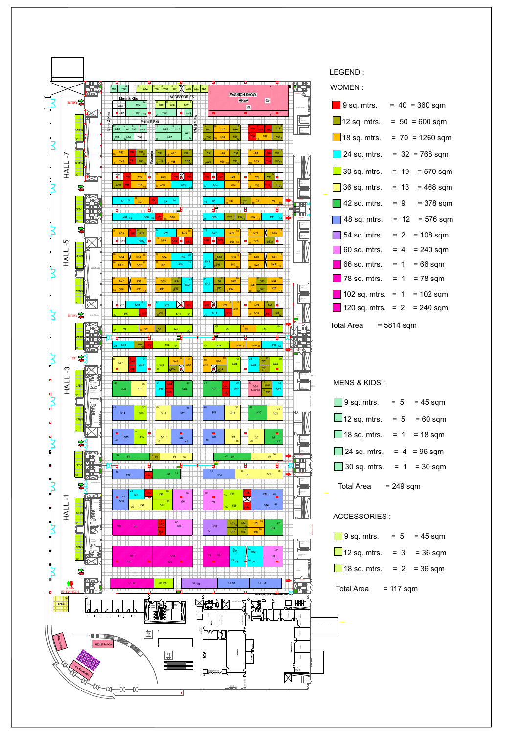

| 9 sq. mtrs.                     | $= 40 = 360$ sqm      |  |  |  |
|---------------------------------|-----------------------|--|--|--|
| $\Box$ 12 sq. mtrs.             | $= 50 = 600$ sqm      |  |  |  |
| $\Box$ 18 sq. mtrs.             | $= 70 = 1260$ sqm     |  |  |  |
| $\Box$ 24 sq. mtrs.             | $= 32 = 768$ sqm      |  |  |  |
| $\Box$ 30 sq. mtrs.             | $= 19$<br>$= 570$ sqm |  |  |  |
| $\Box$ 36 sq. mtrs.             | $= 13$<br>$= 468$ sqm |  |  |  |
| $\blacksquare$ 42 sq. mtrs.     | $= 9$<br>$= 378$ sqm  |  |  |  |
| $\vert$ 48 sq. mtrs.            | $= 12 = 576$ sqm      |  |  |  |
| $\vert$ 54 sq. mtrs.            | $= 2$<br>$= 108$ sqm  |  |  |  |
| $\vert$ 60 sq. mtrs.            | $= 4$<br>$= 240$ sqm  |  |  |  |
| $\blacksquare$ 66 sq. mtrs.     | $=$ 1<br>$= 66$ sqm   |  |  |  |
| $\blacksquare$ 78 sq. mtrs.     | $= 78$ sqm<br>$=$ 1   |  |  |  |
| $\blacksquare$ 102 sq. mtrs.    | $= 1$<br>= 102 sqm    |  |  |  |
| 120 sq. mtrs.                   | $= 240$ sqm<br>$= 2$  |  |  |  |
| <b>Total Area</b><br>= 5814 sqm |                       |  |  |  |

| $\Box$ 9 sq. mtrs.  | $= 5$     | $= 45$ sqm     |
|---------------------|-----------|----------------|
| $\Box$ 12 sq. mtrs. | $= 5$     | $=60$ sqm      |
| $\Box$ 18 sq. mtrs. |           | $= 1$ = 18 sqm |
| $\Box$ 24 sq. mtrs. |           | $= 4 = 96$ sqm |
| $\Box$ 30 sq. mtrs. |           | $= 1 = 30$ sqm |
| Total Area          | = 249 sam |                |

| 9 sq. mtrs. $= 5$ = 45 sqm     |  |
|--------------------------------|--|
| $12 \text{ sq m}$ = 3 = 36 sqm |  |